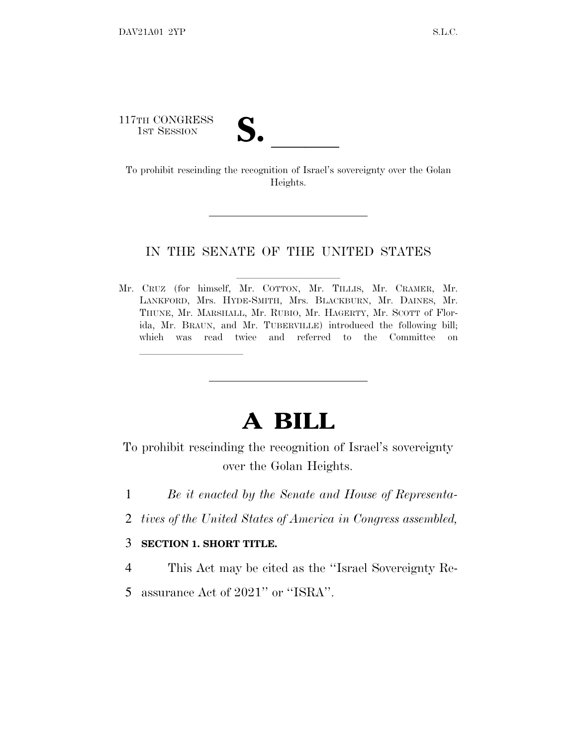117TH CONGRESS

17TH CONGRESS<br>
1ST SESSION<br>
To prohibit rescinding the recognition of Israel's sovereignty over the Golan Heights.

## IN THE SENATE OF THE UNITED STATES

Mr. CRUZ (for himself, Mr. COTTON, Mr. TILLIS, Mr. CRAMER, Mr. LANKFORD, Mrs. HYDE-SMITH, Mrs. BLACKBURN, Mr. DAINES, Mr. THUNE, Mr. MARSHALL, Mr. RUBIO, Mr. HAGERTY, Mr. SCOTT of Florida, Mr. BRAUN, and Mr. TUBERVILLE) introduced the following bill; which was read twice and referred to the Committee on

## **A BILL**

To prohibit rescinding the recognition of Israel's sovereignty over the Golan Heights.

- 1 *Be it enacted by the Senate and House of Representa-*
- 2 *tives of the United States of America in Congress assembled,*

## 3 **SECTION 1. SHORT TITLE.**

lla se al consegue de la consegue de la consegue de la consegue de la consegue de la consegue de la consegue d<br>La consegue de la consegue de la consegue de la consegue de la consegue de la consegue de la consegue de la co

- 4 This Act may be cited as the ''Israel Sovereignty Re-
- 5 assurance Act of 2021'' or ''ISRA''.